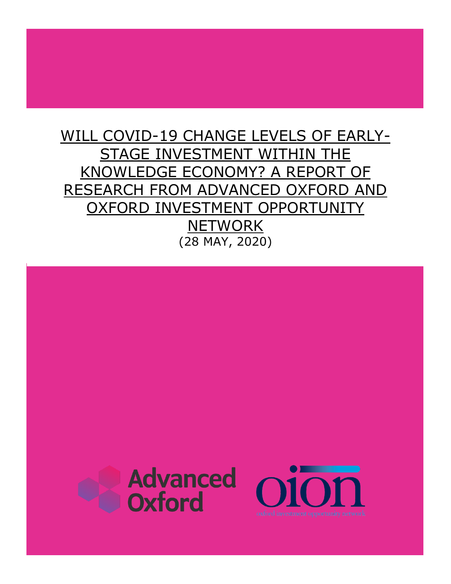# WILL COVID-19 CHANGE LEVELS OF EARLY-STAGE INVESTMENT WITHIN THE KNOWLEDGE ECONOMY? A REPORT OF RESEARCH FROM ADVANCED OXFORD AND OXFORD INVESTMENT OPPORTUNITY **NETWORK** (28 MAY, 2020)

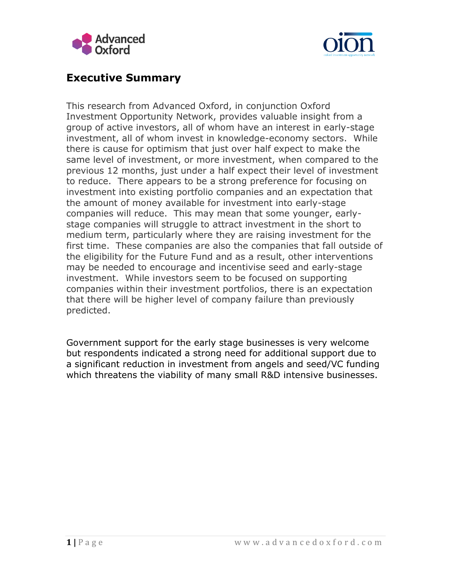



## **Executive Summary**

This research from Advanced Oxford, in conjunction Oxford Investment Opportunity Network, provides valuable insight from a group of active investors, all of whom have an interest in early-stage investment, all of whom invest in knowledge-economy sectors. While there is cause for optimism that just over half expect to make the same level of investment, or more investment, when compared to the previous 12 months, just under a half expect their level of investment to reduce. There appears to be a strong preference for focusing on investment into existing portfolio companies and an expectation that the amount of money available for investment into early-stage companies will reduce. This may mean that some younger, earlystage companies will struggle to attract investment in the short to medium term, particularly where they are raising investment for the first time. These companies are also the companies that fall outside of the eligibility for the Future Fund and as a result, other interventions may be needed to encourage and incentivise seed and early-stage investment. While investors seem to be focused on supporting companies within their investment portfolios, there is an expectation that there will be higher level of company failure than previously predicted.

Government support for the early stage businesses is very welcome but respondents indicated a strong need for additional support due to a significant reduction in investment from angels and seed/VC funding which threatens the viability of many small R&D intensive businesses.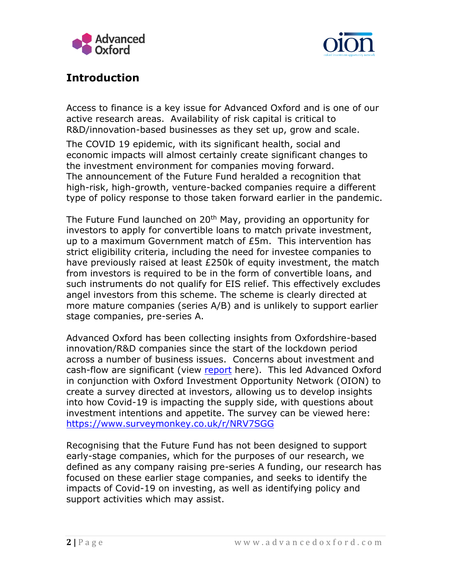



# **Introduction**

Access to finance is a key issue for Advanced Oxford and is one of our active research areas. Availability of risk capital is critical to R&D/innovation-based businesses as they set up, grow and scale.

The COVID 19 epidemic, with its significant health, social and economic impacts will almost certainly create significant changes to the investment environment for companies moving forward. The announcement of the Future Fund heralded a recognition that high-risk, high-growth, venture-backed companies require a different type of policy response to those taken forward earlier in the pandemic.

The Future Fund launched on 20<sup>th</sup> May, providing an opportunity for investors to apply for convertible loans to match private investment, up to a maximum Government match of £5m. This intervention has strict eligibility criteria, including the need for investee companies to have previously raised at least £250k of equity investment, the match from investors is required to be in the form of convertible loans, and such instruments do not qualify for EIS relief. This effectively excludes angel investors from this scheme. The scheme is clearly directed at more mature companies (series A/B) and is unlikely to support earlier stage companies, pre-series A.

Advanced Oxford has been collecting insights from Oxfordshire-based innovation/R&D companies since the start of the lockdown period across a number of business issues. Concerns about investment and cash-flow are significant (view [report](https://www.advancedoxford.com/project/the-impact-of-covid-19-on-a-group-of-innovation-based-companies-a-report-of-our-survey-findings/) here). This led Advanced Oxford in conjunction with Oxford Investment Opportunity Network (OION) to create a survey directed at investors, allowing us to develop insights into how Covid-19 is impacting the supply side, with questions about investment intentions and appetite. The survey can be viewed here: <https://www.surveymonkey.co.uk/r/NRV7SGG>

Recognising that the Future Fund has not been designed to support early-stage companies, which for the purposes of our research, we defined as any company raising pre-series A funding, our research has focused on these earlier stage companies, and seeks to identify the impacts of Covid-19 on investing, as well as identifying policy and support activities which may assist.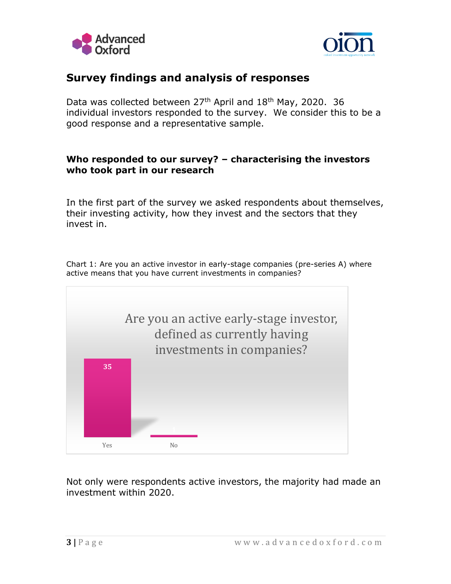



## **Survey findings and analysis of responses**

Data was collected between  $27<sup>th</sup>$  April and  $18<sup>th</sup>$  May, 2020. 36 individual investors responded to the survey. We consider this to be a good response and a representative sample.

### **Who responded to our survey? – characterising the investors who took part in our research**

In the first part of the survey we asked respondents about themselves, their investing activity, how they invest and the sectors that they invest in.

Chart 1: Are you an active investor in early-stage companies (pre-series A) where active means that you have current investments in companies?



Not only were respondents active investors, the majority had made an investment within 2020.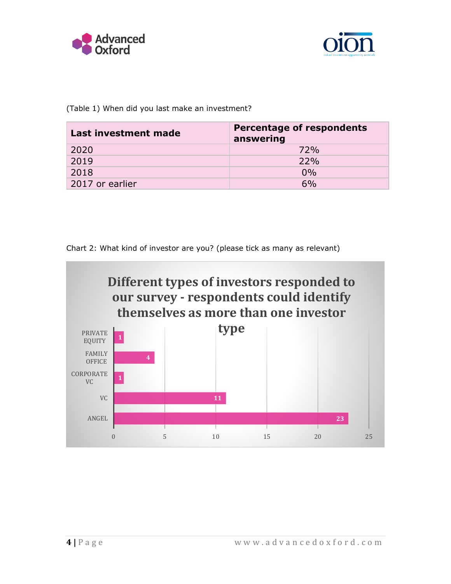



(Table 1) When did you last make an investment?

| Last investment made | <b>Percentage of respondents</b><br>answering |
|----------------------|-----------------------------------------------|
| 2020                 | 72%                                           |
| 2019                 | 22%                                           |
| 2018                 | $0\%$                                         |
| 2017 or earlier      | 6%                                            |

Chart 2: What kind of investor are you? (please tick as many as relevant)

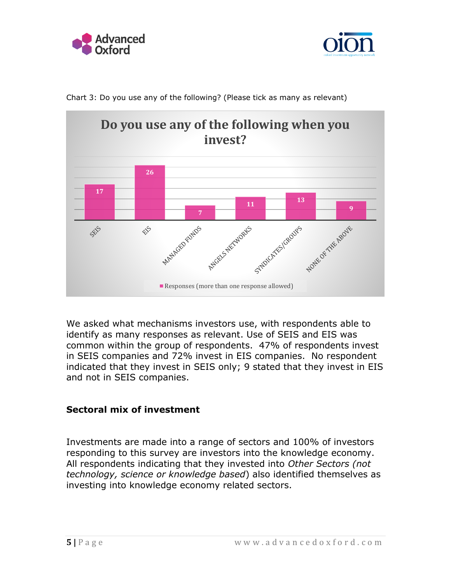





Chart 3: Do you use any of the following? (Please tick as many as relevant)

We asked what mechanisms investors use, with respondents able to identify as many responses as relevant. Use of SEIS and EIS was common within the group of respondents. 47% of respondents invest in SEIS companies and 72% invest in EIS companies. No respondent indicated that they invest in SEIS only; 9 stated that they invest in EIS and not in SEIS companies.

### **Sectoral mix of investment**

Investments are made into a range of sectors and 100% of investors responding to this survey are investors into the knowledge economy. All respondents indicating that they invested into *Other Sectors (not technology, science or knowledge based*) also identified themselves as investing into knowledge economy related sectors.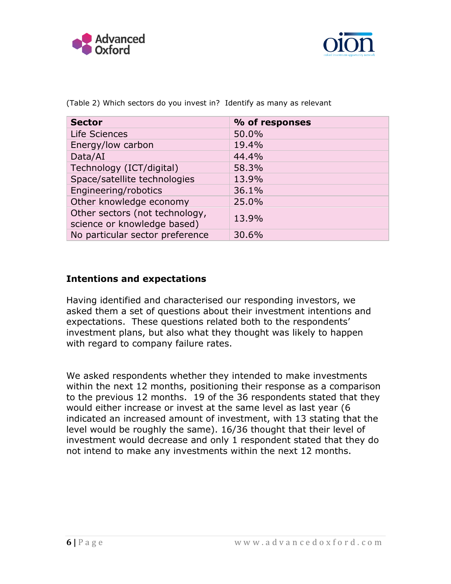



| <b>Sector</b>                                                 | % of responses |
|---------------------------------------------------------------|----------------|
| Life Sciences                                                 | 50.0%          |
| Energy/low carbon                                             | 19.4%          |
| Data/AI                                                       | 44.4%          |
| Technology (ICT/digital)                                      | 58.3%          |
| Space/satellite technologies                                  | 13.9%          |
| Engineering/robotics                                          | 36.1%          |
| Other knowledge economy                                       | 25.0%          |
| Other sectors (not technology,<br>science or knowledge based) | 13.9%          |
| No particular sector preference                               | 30.6%          |

(Table 2) Which sectors do you invest in? Identify as many as relevant

### **Intentions and expectations**

Having identified and characterised our responding investors, we asked them a set of questions about their investment intentions and expectations. These questions related both to the respondents' investment plans, but also what they thought was likely to happen with regard to company failure rates.

We asked respondents whether they intended to make investments within the next 12 months, positioning their response as a comparison to the previous 12 months. 19 of the 36 respondents stated that they would either increase or invest at the same level as last year (6 indicated an increased amount of investment, with 13 stating that the level would be roughly the same). 16/36 thought that their level of investment would decrease and only 1 respondent stated that they do not intend to make any investments within the next 12 months.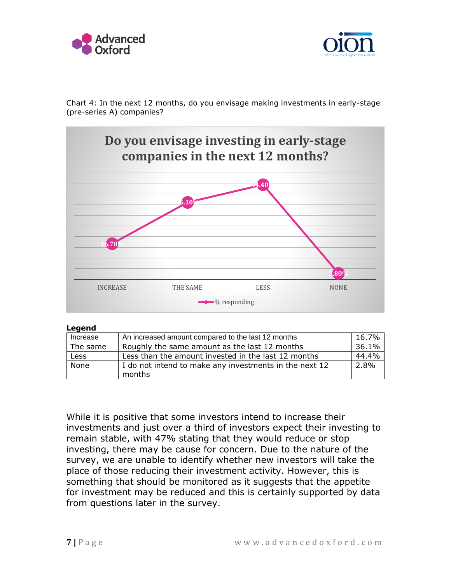



Chart 4: In the next 12 months, do you envisage making investments in early-stage (pre-series A) companies?



#### **Legend**

| Increase | An increased amount compared to the last 12 months     | 16.7% |
|----------|--------------------------------------------------------|-------|
| The same | Roughly the same amount as the last 12 months          | 36.1% |
| Less     | Less than the amount invested in the last 12 months    | 44.4% |
| None     | I do not intend to make any investments in the next 12 | 2.8%  |
|          | months                                                 |       |

While it is positive that some investors intend to increase their investments and just over a third of investors expect their investing to remain stable, with 47% stating that they would reduce or stop investing, there may be cause for concern. Due to the nature of the survey, we are unable to identify whether new investors will take the place of those reducing their investment activity. However, this is something that should be monitored as it suggests that the appetite for investment may be reduced and this is certainly supported by data from questions later in the survey.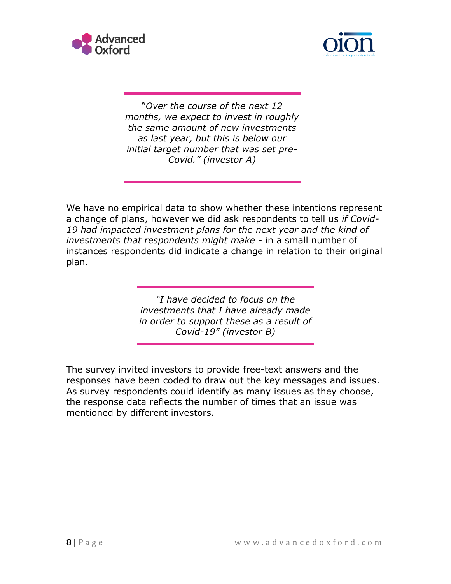



"*Over the course of the next 12 months, we expect to invest in roughly the same amount of new investments as last year, but this is below our initial target number that was set pre-Covid." (investor A)*

We have no empirical data to show whether these intentions represent a change of plans, however we did ask respondents to tell us *if Covid-19 had impacted investment plans for the next year and the kind of investments that respondents might make* - in a small number of instances respondents did indicate a change in relation to their original plan.

> *"I have decided to focus on the investments that I have already made in order to support these as a result of Covid-19" (investor B)*

The survey invited investors to provide free-text answers and the responses have been coded to draw out the key messages and issues. As survey respondents could identify as many issues as they choose, the response data reflects the number of times that an issue was mentioned by different investors.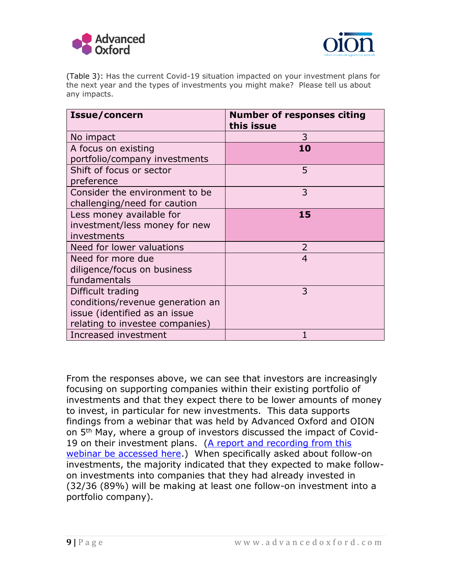



(Table 3): Has the current Covid-19 situation impacted on your investment plans for the next year and the types of investments you might make? Please tell us about any impacts.

| Issue/concern                    | <b>Number of responses citing</b><br>this issue |
|----------------------------------|-------------------------------------------------|
| No impact                        | 3                                               |
| A focus on existing              | 10                                              |
| portfolio/company investments    |                                                 |
| Shift of focus or sector         | 5                                               |
| preference                       |                                                 |
| Consider the environment to be   | 3                                               |
| challenging/need for caution     |                                                 |
| Less money available for         | 15                                              |
| investment/less money for new    |                                                 |
| investments                      |                                                 |
| Need for lower valuations        | 2                                               |
| Need for more due                | $\overline{4}$                                  |
| diligence/focus on business      |                                                 |
| fundamentals                     |                                                 |
| Difficult trading                | 3                                               |
| conditions/revenue generation an |                                                 |
| issue (identified as an issue    |                                                 |
| relating to investee companies)  |                                                 |
| Increased investment             |                                                 |

From the responses above, we can see that investors are increasingly focusing on supporting companies within their existing portfolio of investments and that they expect there to be lower amounts of money to invest, in particular for new investments. This data supports findings from a webinar that was held by Advanced Oxford and OION on 5th May, where a group of investors discussed the impact of Covid-19 on their investment plans. (A report and recording from this [webinar be accessed here.](https://www.advancedoxford.com/join-advanced-oxford-for-a-webinar-exploring-early-stage-investing-5th-may/)) When specifically asked about follow-on investments, the majority indicated that they expected to make followon investments into companies that they had already invested in (32/36 (89%) will be making at least one follow-on investment into a portfolio company).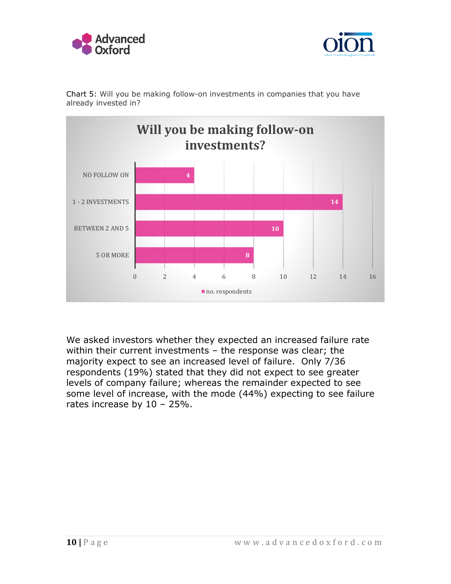





Chart 5: Will you be making follow-on investments in companies that you have already invested in?

We asked investors whether they expected an increased failure rate within their current investments – the response was clear; the majority expect to see an increased level of failure. Only 7/36 respondents (19%) stated that they did not expect to see greater levels of company failure; whereas the remainder expected to see some level of increase, with the mode (44%) expecting to see failure rates increase by 10 – 25%.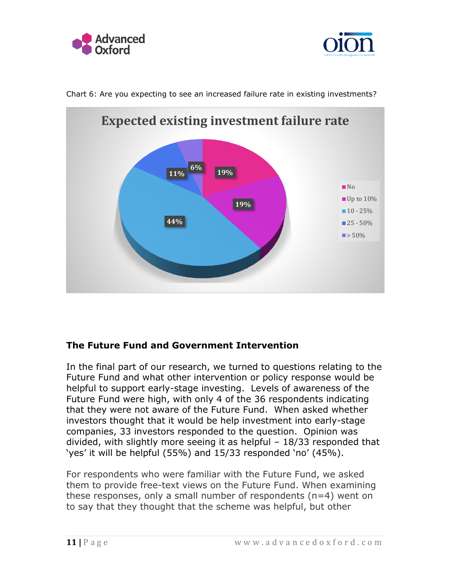





Chart 6: Are you expecting to see an increased failure rate in existing investments?

### **The Future Fund and Government Intervention**

In the final part of our research, we turned to questions relating to the Future Fund and what other intervention or policy response would be helpful to support early-stage investing. Levels of awareness of the Future Fund were high, with only 4 of the 36 respondents indicating that they were not aware of the Future Fund. When asked whether investors thought that it would be help investment into early-stage companies, 33 investors responded to the question. Opinion was divided, with slightly more seeing it as helpful – 18/33 responded that 'yes' it will be helpful (55%) and 15/33 responded 'no' (45%).

For respondents who were familiar with the Future Fund, we asked them to provide free-text views on the Future Fund. When examining these responses, only a small number of respondents (n=4) went on to say that they thought that the scheme was helpful, but other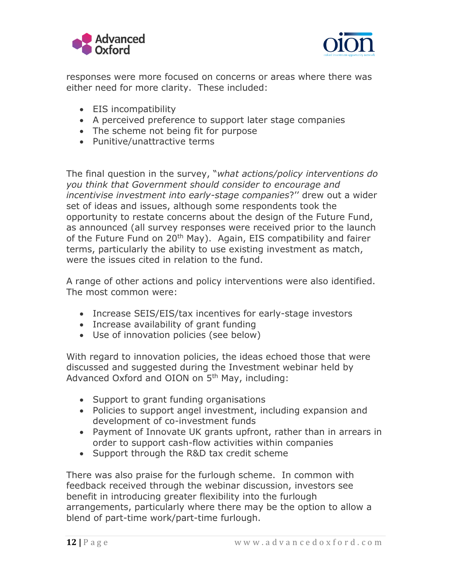



responses were more focused on concerns or areas where there was either need for more clarity. These included:

- EIS incompatibility
- A perceived preference to support later stage companies
- The scheme not being fit for purpose
- Punitive/unattractive terms

The final question in the survey, "*what actions/policy interventions do you think that Government should consider to encourage and incentivise investment into early-stage companies*?'' drew out a wider set of ideas and issues, although some respondents took the opportunity to restate concerns about the design of the Future Fund, as announced (all survey responses were received prior to the launch of the Future Fund on 20<sup>th</sup> May). Again, EIS compatibility and fairer terms, particularly the ability to use existing investment as match, were the issues cited in relation to the fund.

A range of other actions and policy interventions were also identified. The most common were:

- Increase SEIS/EIS/tax incentives for early-stage investors
- Increase availability of grant funding
- Use of innovation policies (see below)

With regard to innovation policies, the ideas echoed those that were discussed and suggested during the Investment webinar held by Advanced Oxford and OION on 5th May, including:

- Support to grant funding organisations
- Policies to support angel investment, including expansion and development of co-investment funds
- Payment of Innovate UK grants upfront, rather than in arrears in order to support cash-flow activities within companies
- Support through the R&D tax credit scheme

There was also praise for the furlough scheme. In common with feedback received through the webinar discussion, investors see benefit in introducing greater flexibility into the furlough arrangements, particularly where there may be the option to allow a blend of part-time work/part-time furlough.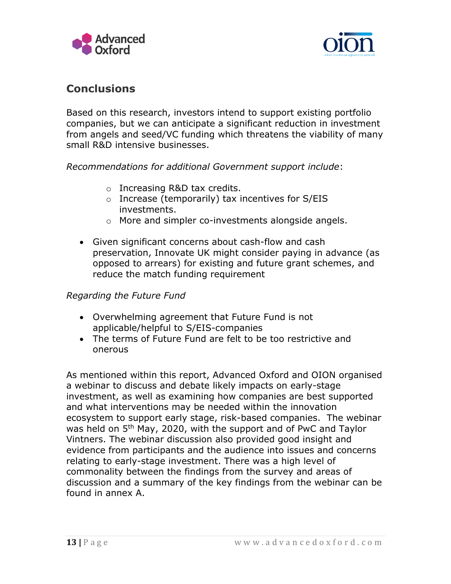



# **Conclusions**

Based on this research, investors intend to support existing portfolio companies, but we can anticipate a significant reduction in investment from angels and seed/VC funding which threatens the viability of many small R&D intensive businesses.

*Recommendations for additional Government support include*:

- o Increasing R&D tax credits.
- o Increase (temporarily) tax incentives for S/EIS investments.
- o More and simpler co-investments alongside angels.
- Given significant concerns about cash-flow and cash preservation, Innovate UK might consider paying in advance (as opposed to arrears) for existing and future grant schemes, and reduce the match funding requirement

### *Regarding the Future Fund*

- Overwhelming agreement that Future Fund is not applicable/helpful to S/EIS-companies
- The terms of Future Fund are felt to be too restrictive and onerous

As mentioned within this report, Advanced Oxford and OION organised a webinar to discuss and debate likely impacts on early-stage investment, as well as examining how companies are best supported and what interventions may be needed within the innovation ecosystem to support early stage, risk-based companies. The webinar was held on 5<sup>th</sup> May, 2020, with the support and of PwC and Taylor Vintners. The webinar discussion also provided good insight and evidence from participants and the audience into issues and concerns relating to early-stage investment. There was a high level of commonality between the findings from the survey and areas of discussion and a summary of the key findings from the webinar can be found in annex A.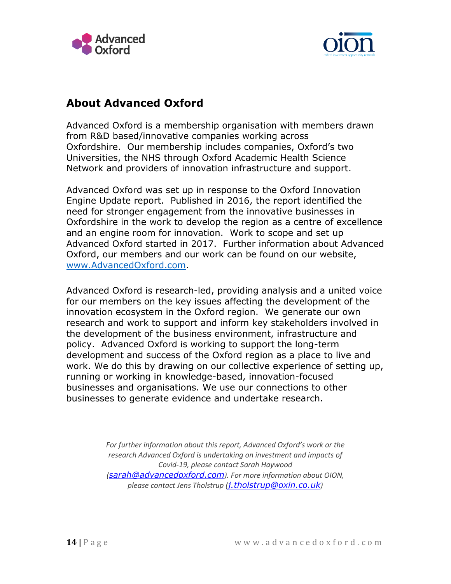



# **About Advanced Oxford**

Advanced Oxford is a membership organisation with members drawn from R&D based/innovative companies working across Oxfordshire. Our membership includes companies, Oxford's two Universities, the NHS through Oxford Academic Health Science Network and providers of innovation infrastructure and support.

Advanced Oxford was set up in response to the Oxford Innovation Engine Update report. Published in 2016, the report identified the need for stronger engagement from the innovative businesses in Oxfordshire in the work to develop the region as a centre of excellence and an engine room for innovation. Work to scope and set up Advanced Oxford started in 2017. Further information about Advanced Oxford, our members and our work can be found on our website, [www.AdvancedOxford.com.](http://www.advancedoxford.com/)

Advanced Oxford is research-led, providing analysis and a united voice for our members on the key issues affecting the development of the innovation ecosystem in the Oxford region. We generate our own research and work to support and inform key stakeholders involved in the development of the business environment, infrastructure and policy. Advanced Oxford is working to support the long-term development and success of the Oxford region as a place to live and work. We do this by drawing on our collective experience of setting up, running or working in knowledge-based, innovation-focused businesses and organisations. We use our connections to other businesses to generate evidence and undertake research.

> *For further information about this report, Advanced Oxford's work or the research Advanced Oxford is undertaking on investment and impacts of Covid-19, please contact Sarah Haywood ([sarah@advancedoxford.com](mailto:sarah@advancedoxford.com)). For more information about OION, please contact Jens Tholstrup ([j.tholstrup@oxin.co.uk](mailto:j.tholstrup@oxin.co.uk))*